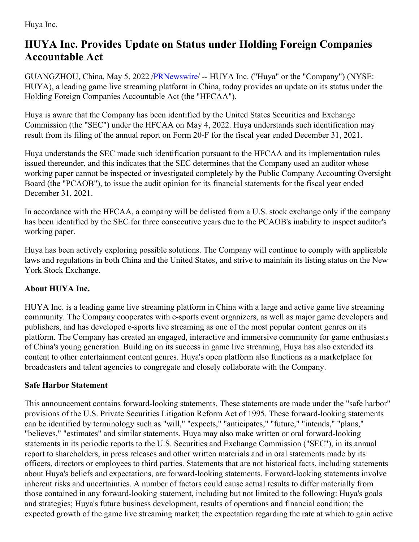Huya Inc.

## **HUYA Inc. Provides Update on Status under Holding Foreign Companies Accountable Act**

GUANGZHOU, China, May 5, 2022 /**PRNewswire/ -- HUYA Inc. ("Huya" or the "Company") (NYSE:** HUYA), a leading game live streaming platform in China, today provides an update on its status under the Holding Foreign Companies Accountable Act (the "HFCAA").

Huya is aware that the Company has been identified by the United States Securities and Exchange Commission (the "SEC") under the HFCAA on May 4, 2022. Huya understands such identification may result from its filing of the annual report on Form 20-F for the fiscal year ended December 31, 2021.

Huya understands the SEC made such identification pursuant to the HFCAA and its implementation rules issued thereunder, and this indicates that the SEC determines that the Company used an auditor whose working paper cannot be inspected or investigated completely by the Public Company Accounting Oversight Board (the "PCAOB"), to issue the audit opinion for its financial statements for the fiscal year ended December 31, 2021.

In accordance with the HFCAA, a company will be delisted from a U.S. stock exchange only if the company has been identified by the SEC for three consecutive years due to the PCAOB's inability to inspect auditor's working paper.

Huya has been actively exploring possible solutions. The Company will continue to comply with applicable laws and regulations in both China and the United States, and strive to maintain its listing status on the New York Stock Exchange.

## **About HUYA Inc.**

HUYA Inc. is a leading game live streaming platform in China with a large and active game live streaming community. The Company cooperates with e-sports event organizers, as well as major game developers and publishers, and has developed e-sports live streaming as one of the most popular content genres on its platform. The Company has created an engaged, interactive and immersive community for game enthusiasts of China's young generation. Building on its success in game live streaming, Huya has also extended its content to other entertainment content genres. Huya's open platform also functions as a marketplace for broadcasters and talent agencies to congregate and closely collaborate with the Company.

## **Safe Harbor Statement**

This announcement contains forward-looking statements. These statements are made under the "safe harbor" provisions of the U.S. Private Securities Litigation Reform Act of 1995. These forward-looking statements can be identified by terminology such as "will," "expects," "anticipates," "future," "intends," "plans," "believes," "estimates" and similar statements. Huya may also make written or oral forward-looking statements in its periodic reports to the U.S. Securities and Exchange Commission ("SEC"), in its annual report to shareholders, in press releases and other written materials and in oral statements made by its officers, directors or employees to third parties. Statements that are not historical facts, including statements about Huya's beliefs and expectations, are forward-looking statements. Forward-looking statements involve inherent risks and uncertainties. A number of factors could cause actual results to differ materially from those contained in any forward-looking statement, including but not limited to the following: Huya's goals and strategies; Huya's future business development, results of operations and financial condition; the expected growth of the game live streaming market; the expectation regarding the rate at which to gain active